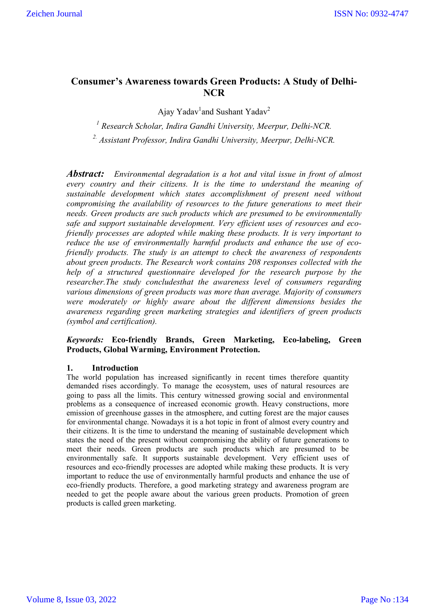# **Consumer's Awareness towards Green Products: A Study of Delhi-NCR**

Ajay Yadav<sup>1</sup>and Sushant Yadav<sup>2</sup>

*<sup>1</sup> Research Scholar, Indira Gandhi University, Meerpur, Delhi-NCR.*

*2. Assistant Professor, Indira Gandhi University, Meerpur, Delhi-NCR.*

*Abstract: Environmental degradation is a hot and vital issue in front of almost every country and their citizens. It is the time to understand the meaning of sustainable development which states accomplishment of present need without compromising the availability of resources to the future generations to meet their needs. Green products are such products which are presumed to be environmentally safe and support sustainable development. Very efficient uses of resources and ecofriendly processes are adopted while making these products. It is very important to reduce the use of environmentally harmful products and enhance the use of ecofriendly products. The study is an attempt to check the awareness of respondents about green products. The Research work contains 208 responses collected with the help of a structured questionnaire developed for the research purpose by the researcher.The study concludesthat the awareness level of consumers regarding various dimensions of green products was more than average. Majority of consumers were moderately or highly aware about the different dimensions besides the awareness regarding green marketing strategies and identifiers of green products (symbol and certification).*

# *Keywords:* **Eco-friendly Brands, Green Marketing, Eco-labeling, Green Products, Global Warming, Environment Protection.**

# **1. Introduction**

The world population has increased significantly in recent times therefore quantity demanded rises accordingly. To manage the ecosystem, uses of natural resources are going to pass all the limits. This century witnessed growing social and environmental problems as a consequence of increased economic growth. Heavy constructions, more emission of greenhouse gasses in the atmosphere, and cutting forest are the major causes for environmental change. Nowadays it is a hot topic in front of almost every country and their citizens. It is the time to understand the meaning of sustainable development which states the need of the present without compromising the ability of future generations to meet their needs. Green products are such products which are presumed to be environmentally safe. It supports sustainable development. Very efficient uses of resources and eco-friendly processes are adopted while making these products. It is very important to reduce the use of environmentally harmful products and enhance the use of eco-friendly products. Therefore, a good marketing strategy and awareness program are needed to get the people aware about the various green products. Promotion of green products is called green marketing.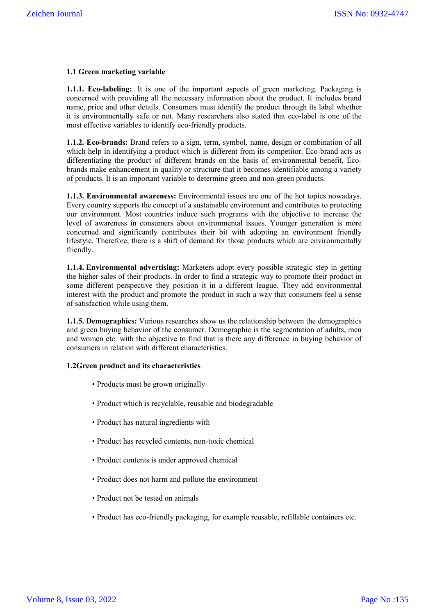### **1.1 Green marketing variable**

**1.1.1. Eco-labeling:** It is one of the important aspects of green marketing. Packaging is concerned with providing all the necessary information about the product. It includes brand name, price and other details. Consumers must identify the product through its label whether it is environmentally safe or not. Many researchers also stated that eco-label is one of the most effective variables to identify eco-friendly products.

**1.1.2. Eco-brands:** Brand refers to a sign, term, symbol, name, design or combination of all which help in identifying a product which is different from its competitor. Eco-brand acts as differentiating the product of different brands on the basis of environmental benefit, Ecobrands make enhancement in quality or structure that it becomes identifiable among a variety of products. It is an important variable to determine green and non-green products.

**1.1.3. Environmental awareness:** Environmental issues are one of the hot topics nowadays. Every country supports the concept of a sustainable environment and contributes to protecting our environment. Most countries induce such programs with the objective to increase the level of awareness in consumers about environmental issues. Younger generation is more concerned and significantly contributes their bit with adopting an environment friendly lifestyle. Therefore, there is a shift of demand for those products which are environmentally friendly.

**1.1.4. Environmental advertising:** Marketers adopt every possible strategic step in getting the higher sales of their products. In order to find a strategic way to promote their product in some different perspective they position it in a different league. They add environmental interest with the product and promote the product in such a way that consumers feel a sense of satisfaction while using them.

**1.1.5. Demographics:** Various researches show us the relationship between the demographics and green buying behavior of the consumer. Demographic is the segmentation of adults, men and women etc. with the objective to find that is there any difference in buying behavior of consumers in relation with different characteristics.

#### **1.2Green product and its characteristics**

- Products must be grown originally
- Product which is recyclable, reusable and biodegradable
- Product has natural ingredients with
- Product has recycled contents, non-toxic chemical
- Product contents is under approved chemical
- Product does not harm and pollute the environment
- Product not be tested on animals
- Product has eco-friendly packaging, for example reusable, refillable containers etc.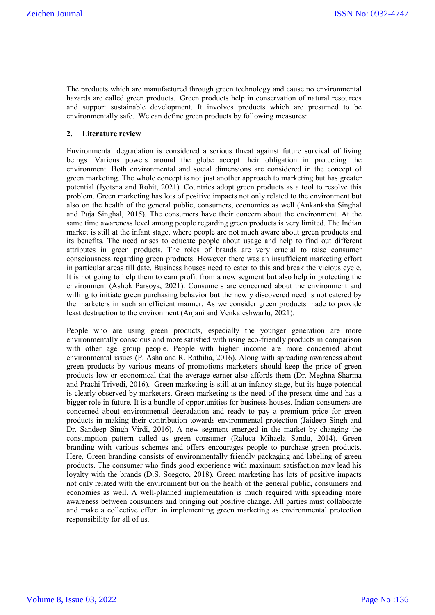The products which are manufactured through green technology and cause no environmental hazards are called green products. Green products help in conservation of natural resources and support sustainable development. It involves products which are presumed to be environmentally safe. We can define green products by following measures:

#### **2. Literature review**

Environmental degradation is considered a serious threat against future survival of living beings. Various powers around the globe accept their obligation in protecting the environment. Both environmental and social dimensions are considered in the concept of green marketing. The whole concept is not just another approach to marketing but has greater potential (Jyotsna and Rohit, 2021). Countries adopt green products as a tool to resolve this problem. Green marketing has lots of positive impacts not only related to the environment but also on the health of the general public, consumers, economies as well (Ankanksha Singhal and Puja Singhal, 2015). The consumers have their concern about the environment. At the same time awareness level among people regarding green products is very limited. The Indian market is still at the infant stage, where people are not much aware about green products and its benefits. The need arises to educate people about usage and help to find out different attributes in green products. The roles of brands are very crucial to raise consumer consciousness regarding green products. However there was an insufficient marketing effort in particular areas till date. Business houses need to cater to this and break the vicious cycle. It is not going to help them to earn profit from a new segment but also help in protecting the environment (Ashok Parsoya, 2021). Consumers are concerned about the environment and willing to initiate green purchasing behavior but the newly discovered need is not catered by the marketers in such an efficient manner. As we consider green products made to provide least destruction to the environment (Anjani and Venkateshwarlu, 2021).

People who are using green products, especially the younger generation are more environmentally conscious and more satisfied with using eco-friendly products in comparison with other age group people. People with higher income are more concerned about environmental issues (P. Asha and R. Rathiha, 2016). Along with spreading awareness about green products by various means of promotions marketers should keep the price of green products low or economical that the average earner also affords them (Dr. Meghna Sharma and Prachi Trivedi, 2016). Green marketing is still at an infancy stage, but its huge potential is clearly observed by marketers. Green marketing is the need of the present time and has a bigger role in future. It is a bundle of opportunities for business houses. Indian consumers are concerned about environmental degradation and ready to pay a premium price for green products in making their contribution towards environmental protection (Jaideep Singh and Dr. Sandeep Singh Virdi, 2016). A new segment emerged in the market by changing the consumption pattern called as green consumer (Raluca Mihaela Sandu, 2014). Green branding with various schemes and offers encourages people to purchase green products. Here, Green branding consists of environmentally friendly packaging and labeling of green products. The consumer who finds good experience with maximum satisfaction may lead his loyalty with the brands (D.S. Soegoto, 2018). Green marketing has lots of positive impacts not only related with the environment but on the health of the general public, consumers and economies as well. A well-planned implementation is much required with spreading more awareness between consumers and bringing out positive change. All parties must collaborate and make a collective effort in implementing green marketing as environmental protection responsibility for all of us.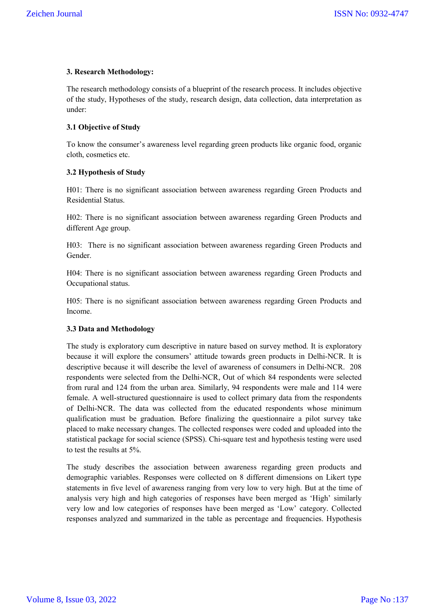# **3. Research Methodology:**

The research methodology consists of a blueprint of the research process. It includes objective of the study, Hypotheses of the study, research design, data collection, data interpretation as under:

# **3.1 Objective of Study**

To know the consumer's awareness level regarding green products like organic food, organic cloth, cosmetics etc.

#### **3.2 Hypothesis of Study**

H01: There is no significant association between awareness regarding Green Products and Residential Status.

H02: There is no significant association between awareness regarding Green Products and different Age group.

H03: There is no significant association between awareness regarding Green Products and Gender.

H04: There is no significant association between awareness regarding Green Products and Occupational status.

H05: There is no significant association between awareness regarding Green Products and Income.

# **3.3 Data and Methodology**

The study is exploratory cum descriptive in nature based on survey method. It is exploratory because it will explore the consumers' attitude towards green products in Delhi-NCR. It is descriptive because it will describe the level of awareness of consumers in Delhi-NCR. 208 respondents were selected from the Delhi-NCR, Out of which 84 respondents were selected from rural and 124 from the urban area. Similarly, 94 respondents were male and 114 were female. A well-structured questionnaire is used to collect primary data from the respondents of Delhi-NCR. The data was collected from the educated respondents whose minimum qualification must be graduation. Before finalizing the questionnaire a pilot survey take placed to make necessary changes. The collected responses were coded and uploaded into the statistical package for social science (SPSS). Chi-square test and hypothesis testing were used to test the results at 5%.

The study describes the association between awareness regarding green products and demographic variables. Responses were collected on 8 different dimensions on Likert type statements in five level of awareness ranging from very low to very high. But at the time of analysis very high and high categories of responses have been merged as 'High' similarly very low and low categories of responses have been merged as 'Low' category. Collected responses analyzed and summarized in the table as percentage and frequencies. Hypothesis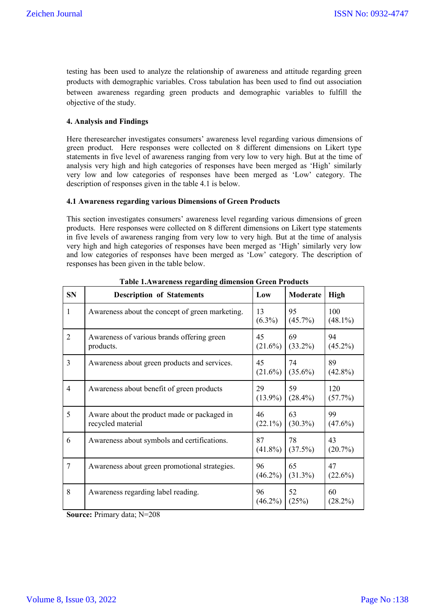testing has been used to analyze the relationship of awareness and attitude regarding green products with demographic variables. Cross tabulation has been used to find out association between awareness regarding green products and demographic variables to fulfill the objective of the study.

#### **4. Analysis and Findings**

Here theresearcher investigates consumers' awareness level regarding various dimensions of green product. Here responses were collected on 8 different dimensions on Likert type statements in five level of awareness ranging from very low to very high. But at the time of analysis very high and high categories of responses have been merged as 'High' similarly very low and low categories of responses have been merged as 'Low' category. The description of responses given in the table 4.1 is below.

#### **4.1 Awareness regarding various Dimensions of Green Products**

This section investigates consumers' awareness level regarding various dimensions of green products. Here responses were collected on 8 different dimensions on Likert type statements in five levels of awareness ranging from very low to very high. But at the time of analysis very high and high categories of responses have been merged as 'High' similarly very low and low categories of responses have been merged as 'Low' category. The description of responses has been given in the table below.

| <b>SN</b>      | <b>Description of Statements</b>                                 | Low              | Moderate         | <b>High</b>       |
|----------------|------------------------------------------------------------------|------------------|------------------|-------------------|
| 1              | Awareness about the concept of green marketing.                  | 13<br>$(6.3\%)$  | 95<br>$(45.7\%)$ | 100<br>$(48.1\%)$ |
| $\overline{2}$ | Awareness of various brands offering green<br>products.          | 45<br>$(21.6\%)$ | 69<br>$(33.2\%)$ | 94<br>$(45.2\%)$  |
| $\overline{3}$ | Awareness about green products and services.                     | 45<br>$(21.6\%)$ | 74<br>$(35.6\%)$ | 89<br>$(42.8\%)$  |
| $\overline{4}$ | Awareness about benefit of green products                        | 29<br>$(13.9\%)$ | 59<br>$(28.4\%)$ | 120<br>(57.7%)    |
| 5              | Aware about the product made or packaged in<br>recycled material | 46<br>$(22.1\%)$ | 63<br>$(30.3\%)$ | 99<br>$(47.6\%)$  |
| 6              | Awareness about symbols and certifications.                      | 87<br>$(41.8\%)$ | 78<br>(37.5%)    | 43<br>$(20.7\%)$  |
| $\overline{7}$ | Awareness about green promotional strategies.                    | 96<br>$(46.2\%)$ | 65<br>$(31.3\%)$ | 47<br>$(22.6\%)$  |
| 8              | Awareness regarding label reading.                               | 96<br>$(46.2\%)$ | 52<br>(25%)      | 60<br>$(28.2\%)$  |

**Table 1.Awareness regarding dimension Green Products**

**Source:** Primary data; N=208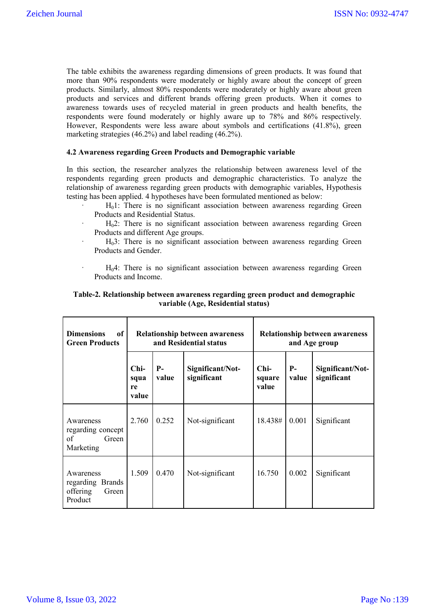The table exhibits the awareness regarding dimensions of green products. It was found that more than 90% respondents were moderately or highly aware about the concept of green products. Similarly, almost 80% respondents were moderately or highly aware about green products and services and different brands offering green products. When it comes to awareness towards uses of recycled material in green products and health benefits, the respondents were found moderately or highly aware up to 78% and 86% respectively. However, Respondents were less aware about symbols and certifications (41.8%), green marketing strategies (46.2%) and label reading (46.2%).

#### **4.2 Awareness regarding Green Products and Demographic variable**

In this section, the researcher analyzes the relationship between awareness level of the respondents regarding green products and demographic characteristics. To analyze the relationship of awareness regarding green products with demographic variables, Hypothesis testing has been applied. 4 hypotheses have been formulated mentioned as below:

- $H<sub>0</sub>1$ : There is no significant association between awareness regarding Green Products and Residential Status.
- $H<sub>0</sub>2$ : There is no significant association between awareness regarding Green Products and different Age groups.
- $H<sub>0</sub>3$ : There is no significant association between awareness regarding Green Products and Gender.
- $H<sub>0</sub>4$ : There is no significant association between awareness regarding Green Products and Income.

# **Table-2. Relationship between awareness regarding green product and demographic variable (Age, Residential status)**

| <b>Dimensions</b><br>of<br><b>Green Products</b>              | <b>Relationship between awareness</b><br>and Residential status |               |                                 | <b>Relationship between awareness</b><br>and Age group |               |                                 |  |
|---------------------------------------------------------------|-----------------------------------------------------------------|---------------|---------------------------------|--------------------------------------------------------|---------------|---------------------------------|--|
|                                                               | Chi-<br>squa<br>re<br>value                                     | $P-$<br>value | Significant/Not-<br>significant |                                                        | $P-$<br>value | Significant/Not-<br>significant |  |
| Awareness<br>regarding concept<br>of<br>Green<br>Marketing    | 2.760                                                           | 0.252         | Not-significant                 | 18.438#                                                | 0.001         | Significant                     |  |
| Awareness<br>regarding Brands<br>offering<br>Green<br>Product | 1.509                                                           | 0.470         | Not-significant                 | 16.750                                                 | 0.002         | Significant                     |  |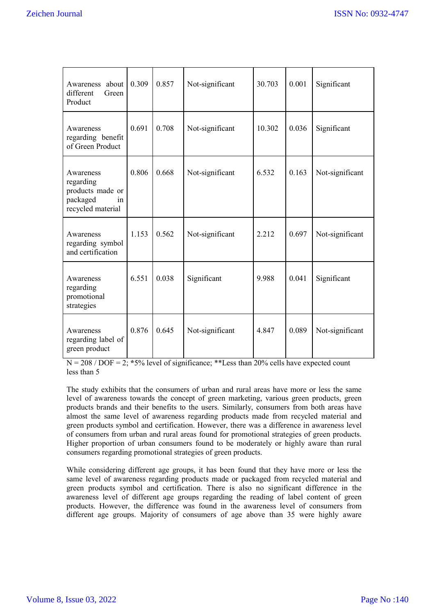| Awareness about<br>different<br>Green<br>Product                                  | 0.309                             | 0.857 | Not-significant | 30.703 | 0.001       | Significant     |
|-----------------------------------------------------------------------------------|-----------------------------------|-------|-----------------|--------|-------------|-----------------|
| Awareness<br>regarding benefit<br>of Green Product                                | 0.691<br>0.708<br>Not-significant |       | 10.302          | 0.036  | Significant |                 |
| Awareness<br>regarding<br>products made or<br>packaged<br>in<br>recycled material | 0.806                             | 0.668 | Not-significant | 6.532  | 0.163       | Not-significant |
| Awareness<br>regarding symbol<br>and certification                                | 1.153                             | 0.562 | Not-significant | 2.212  | 0.697       | Not-significant |
| Awareness<br>regarding<br>promotional<br>strategies                               | 6.551                             | 0.038 | Significant     | 9.988  | 0.041       | Significant     |
| Awareness<br>regarding label of<br>green product                                  | 0.876                             | 0.645 | Not-significant | 4.847  | 0.089       | Not-significant |

 $N = 208 / DOF = 2$ ;  $*5\%$  level of significance;  $*$ Less than 20% cells have expected count less than 5

The study exhibits that the consumers of urban and rural areas have more or less the same level of awareness towards the concept of green marketing, various green products, green products brands and their benefits to the users. Similarly, consumers from both areas have almost the same level of awareness regarding products made from recycled material and green products symbol and certification. However, there was a difference in awareness level of consumers from urban and rural areas found for promotional strategies of green products. Higher proportion of urban consumers found to be moderately or highly aware than rural consumers regarding promotional strategies of green products.

While considering different age groups, it has been found that they have more or less the same level of awareness regarding products made or packaged from recycled material and green products symbol and certification. There is also no significant difference in the awareness level of different age groups regarding the reading of label content of green products. However, the difference was found in the awareness level of consumers from different age groups. Majority of consumers of age above than 35 were highly aware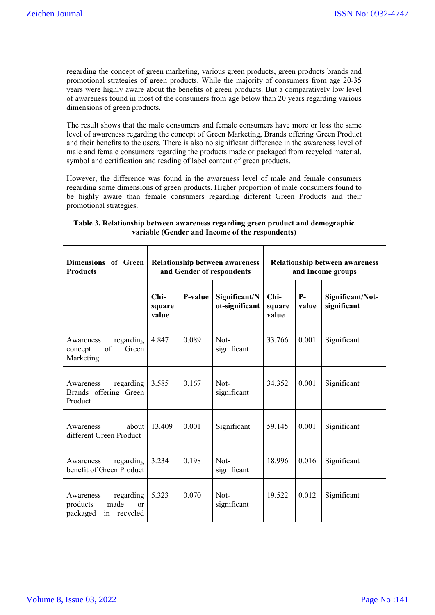regarding the concept of green marketing, various green products, green products brands and promotional strategies of green products. While the majority of consumers from age 20-35 years were highly aware about the benefits of green products. But a comparatively low level of awareness found in most of the consumers from age below than 20 years regarding various dimensions of green products.

The result shows that the male consumers and female consumers have more or less the same level of awareness regarding the concept of Green Marketing, Brands offering Green Product and their benefits to the users. There is also no significant difference in the awareness level of male and female consumers regarding the products made or packaged from recycled material, symbol and certification and reading of label content of green products.

However, the difference was found in the awareness level of male and female consumers regarding some dimensions of green products. Higher proportion of male consumers found to be highly aware than female consumers regarding different Green Products and their promotional strategies.

| Dimensions of Green<br><b>Products</b>                                      | <b>Relationship between awareness</b><br>and Gender of respondents |         |                                 | <b>Relationship between awareness</b><br>and Income groups |               |                                 |  |
|-----------------------------------------------------------------------------|--------------------------------------------------------------------|---------|---------------------------------|------------------------------------------------------------|---------------|---------------------------------|--|
|                                                                             | $Chi-$<br>square<br>value                                          | P-value | Significant/N<br>ot-significant | $Chi-$<br>square<br>value                                  | $P-$<br>value | Significant/Not-<br>significant |  |
| regarding<br>Awareness<br>of<br>Green<br>concept<br>Marketing               | 4.847                                                              | 0.089   | Not-<br>significant             | 33.766                                                     | 0.001         | Significant                     |  |
| regarding<br>Awareness<br>Brands offering Green<br>Product                  | 3.585                                                              | 0.167   | Not-<br>significant             | 34.352                                                     | 0.001         | Significant                     |  |
| about<br>Awareness<br>different Green Product                               | 13.409                                                             | 0.001   | Significant                     | 59.145                                                     | 0.001         | Significant                     |  |
| regarding<br>Awareness<br>benefit of Green Product                          | 3.234                                                              | 0.198   | Not-<br>significant             | 18.996                                                     | 0.016         | Significant                     |  |
| regarding<br>Awareness<br>made<br>products<br>or<br>packaged<br>in recycled | 5.323                                                              | 0.070   | Not-<br>significant             | 19.522                                                     | 0.012         | Significant                     |  |

| Table 3. Relationship between awareness regarding green product and demographic |
|---------------------------------------------------------------------------------|
| variable (Gender and Income of the respondents)                                 |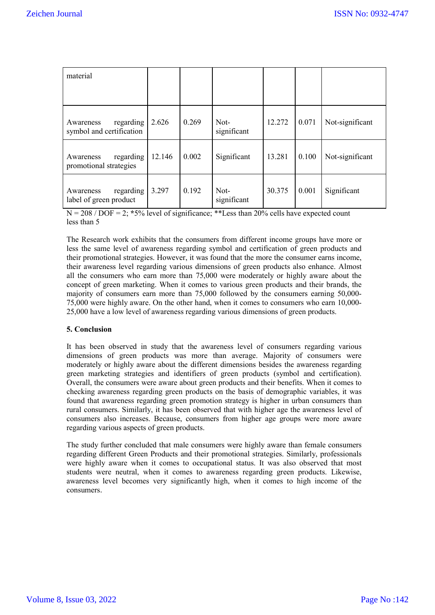| material                                           |        |       |                     |        |       |                 |
|----------------------------------------------------|--------|-------|---------------------|--------|-------|-----------------|
| regarding<br>Awareness<br>symbol and certification | 2.626  | 0.269 | Not-<br>significant | 12.272 | 0.071 | Not-significant |
| regarding<br>Awareness<br>promotional strategies   | 12.146 | 0.002 | Significant         | 13.281 | 0.100 | Not-significant |
| regarding<br>Awareness<br>label of green product   | 3.297  | 0.192 | Not-<br>significant | 30.375 | 0.001 | Significant     |

N = 208 / DOF = 2; **\***5% level of significance; \*\*Less than 20% cells have expected count less than 5

The Research work exhibits that the consumers from different income groups have more or less the same level of awareness regarding symbol and certification of green products and their promotional strategies. However, it was found that the more the consumer earns income, their awareness level regarding various dimensions of green products also enhance. Almost all the consumers who earn more than 75,000 were moderately or highly aware about the concept of green marketing. When it comes to various green products and their brands, the majority of consumers earn more than 75,000 followed by the consumers earning 50,000- 75,000 were highly aware. On the other hand, when it comes to consumers who earn 10,000- 25,000 have a low level of awareness regarding various dimensions of green products.

# **5. Conclusion**

It has been observed in study that the awareness level of consumers regarding various dimensions of green products was more than average. Majority of consumers were moderately or highly aware about the different dimensions besides the awareness regarding green marketing strategies and identifiers of green products (symbol and certification). Overall, the consumers were aware about green products and their benefits. When it comes to checking awareness regarding green products on the basis of demographic variables, it was found that awareness regarding green promotion strategy is higher in urban consumers than rural consumers. Similarly, it has been observed that with higher age the awareness level of consumers also increases. Because, consumers from higher age groups were more aware regarding various aspects of green products.

The study further concluded that male consumers were highly aware than female consumers regarding different Green Products and their promotional strategies. Similarly, professionals were highly aware when it comes to occupational status. It was also observed that most students were neutral, when it comes to awareness regarding green products. Likewise, awareness level becomes very significantly high, when it comes to high income of the consumers.